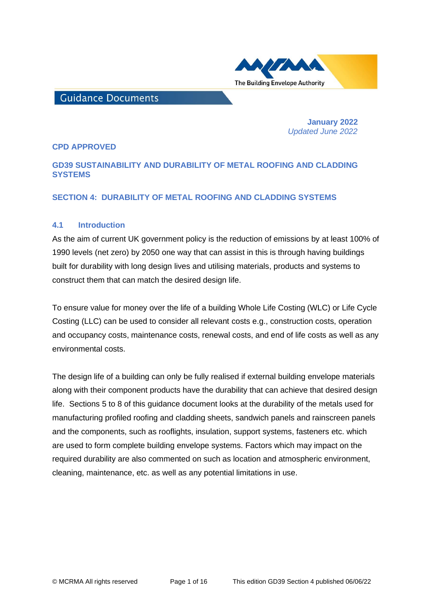

# **Guidance Documents**

 **January 2022**   *Updated June 2022*

### **CPD APPROVED**

## **GD39 SUSTAINABILITY AND DURABILITY OF METAL ROOFING AND CLADDING SYSTEMS**

### **SECTION 4: DURABILITY OF METAL ROOFING AND CLADDING SYSTEMS**

### **4.1 Introduction**

As the aim of current UK government policy is the reduction of emissions by at least 100% of 1990 levels (net zero) by 2050 one way that can assist in this is through having buildings built for durability with long design lives and utilising materials, products and systems to construct them that can match the desired design life.

To ensure value for money over the life of a building Whole Life Costing (WLC) or Life Cycle Costing (LLC) can be used to consider all relevant costs e.g., construction costs, operation and occupancy costs, maintenance costs, renewal costs, and end of life costs as well as any environmental costs.

The design life of a building can only be fully realised if external building envelope materials along with their component products have the durability that can achieve that desired design life. Sections 5 to 8 of this guidance document looks at the durability of the metals used for manufacturing profiled roofing and cladding sheets, sandwich panels and rainscreen panels and the components, such as rooflights, insulation, support systems, fasteners etc. which are used to form complete building envelope systems. Factors which may impact on the required durability are also commented on such as location and atmospheric environment, cleaning, maintenance, etc. as well as any potential limitations in use.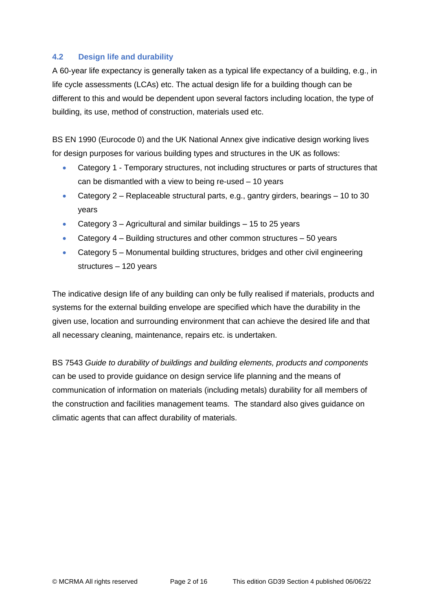## **4.2 Design life and durability**

A 60-year life expectancy is generally taken as a typical life expectancy of a building, e.g., in life cycle assessments (LCAs) etc. The actual design life for a building though can be different to this and would be dependent upon several factors including location, the type of building, its use, method of construction, materials used etc.

BS EN 1990 (Eurocode 0) and the UK National Annex give indicative design working lives for design purposes for various building types and structures in the UK as follows:

- Category 1 Temporary structures, not including structures or parts of structures that can be dismantled with a view to being re-used – 10 years
- Category  $2$  Replaceable structural parts, e.g., gantry girders, bearings 10 to 30 years
- Category 3 Agricultural and similar buildings 15 to 25 years
- Category 4 Building structures and other common structures 50 years
- Category 5 Monumental building structures, bridges and other civil engineering structures – 120 years

The indicative design life of any building can only be fully realised if materials, products and systems for the external building envelope are specified which have the durability in the given use, location and surrounding environment that can achieve the desired life and that all necessary cleaning, maintenance, repairs etc. is undertaken.

BS 7543 *Guide to durability of buildings and building elements, products and components* can be used to provide guidance on design service life planning and the means of communication of information on materials (including metals) durability for all members of the construction and facilities management teams. The standard also gives guidance on climatic agents that can affect durability of materials.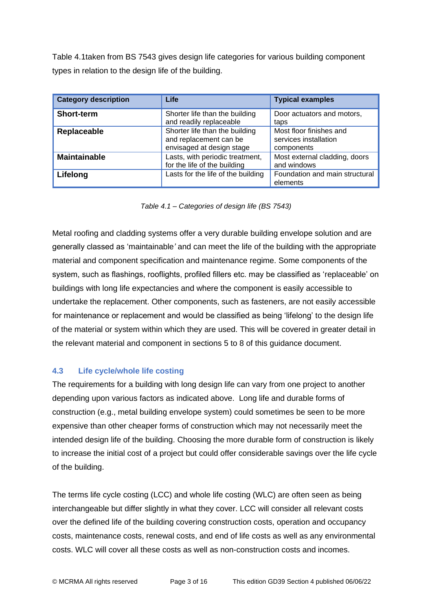Table 4.1taken from BS 7543 gives design life categories for various building component types in relation to the design life of the building.

| <b>Category description</b> | Life                                                                                  | <b>Typical examples</b>                                        |
|-----------------------------|---------------------------------------------------------------------------------------|----------------------------------------------------------------|
| <b>Short-term</b>           | Shorter life than the building<br>and readily replaceable                             | Door actuators and motors,<br>taps                             |
| Replaceable                 | Shorter life than the building<br>and replacement can be<br>envisaged at design stage | Most floor finishes and<br>services installation<br>components |
| <b>Maintainable</b>         | Lasts, with periodic treatment,<br>for the life of the building                       | Most external cladding, doors<br>and windows                   |
| Lifelong                    | Lasts for the life of the building                                                    | Foundation and main structural<br>elements                     |

*Table 4.1 – Categories of design life (BS 7543)*

Metal roofing and cladding systems offer a very durable building envelope solution and are generally classed as 'maintainable*'* and can meet the life of the building with the appropriate material and component specification and maintenance regime. Some components of the system, such as flashings, rooflights, profiled fillers etc. may be classified as 'replaceable' on buildings with long life expectancies and where the component is easily accessible to undertake the replacement. Other components, such as fasteners, are not easily accessible for maintenance or replacement and would be classified as being 'lifelong' to the design life of the material or system within which they are used. This will be covered in greater detail in the relevant material and component in sections 5 to 8 of this guidance document.

## **4.3 Life cycle/whole life costing**

The requirements for a building with long design life can vary from one project to another depending upon various factors as indicated above. Long life and durable forms of construction (e.g., metal building envelope system) could sometimes be seen to be more expensive than other cheaper forms of construction which may not necessarily meet the intended design life of the building. Choosing the more durable form of construction is likely to increase the initial cost of a project but could offer considerable savings over the life cycle of the building.

The terms life cycle costing (LCC) and whole life costing (WLC) are often seen as being interchangeable but differ slightly in what they cover. LCC will consider all relevant costs over the defined life of the building covering construction costs, operation and occupancy costs, maintenance costs, renewal costs, and end of life costs as well as any environmental costs. WLC will cover all these costs as well as non-construction costs and incomes.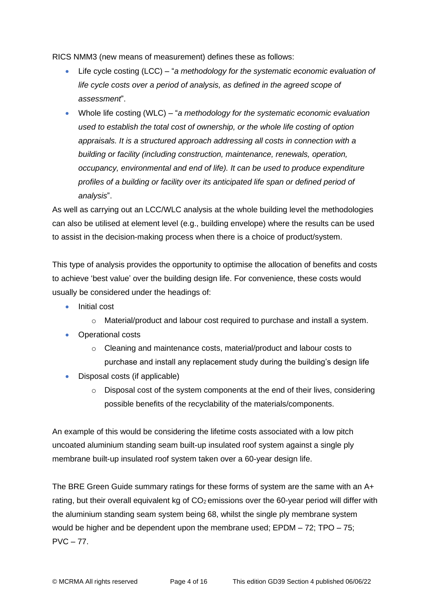RICS NMM3 (new means of measurement) defines these as follows:

- Life cycle costing (LCC) "*a methodology for the systematic economic evaluation of life cycle costs over a period of analysis, as defined in the agreed scope of assessment*".
- Whole life costing (WLC) "*a methodology for the systematic economic evaluation used to establish the total cost of ownership, or the whole life costing of option appraisals. It is a structured approach addressing all costs in connection with a building or facility (including construction, maintenance, renewals, operation, occupancy, environmental and end of life). It can be used to produce expenditure profiles of a building or facility over its anticipated life span or defined period of analysis*".

As well as carrying out an LCC/WLC analysis at the whole building level the methodologies can also be utilised at element level (e.g., building envelope) where the results can be used to assist in the decision-making process when there is a choice of product/system.

This type of analysis provides the opportunity to optimise the allocation of benefits and costs to achieve 'best value' over the building design life. For convenience, these costs would usually be considered under the headings of:

- Initial cost
	- o Material/product and labour cost required to purchase and install a system.
- Operational costs
	- $\circ$  Cleaning and maintenance costs, material/product and labour costs to purchase and install any replacement study during the building's design life
- Disposal costs (if applicable)
	- $\circ$  Disposal cost of the system components at the end of their lives, considering possible benefits of the recyclability of the materials/components.

An example of this would be considering the lifetime costs associated with a low pitch uncoated aluminium standing seam built-up insulated roof system against a single ply membrane built-up insulated roof system taken over a 60-year design life.

The BRE Green Guide summary ratings for these forms of system are the same with an A+ rating, but their overall equivalent kg of  $CO<sub>2</sub>$  emissions over the 60-year period will differ with the aluminium standing seam system being 68, whilst the single ply membrane system would be higher and be dependent upon the membrane used; EPDM – 72; TPO – 75;  $PVC - 77$ .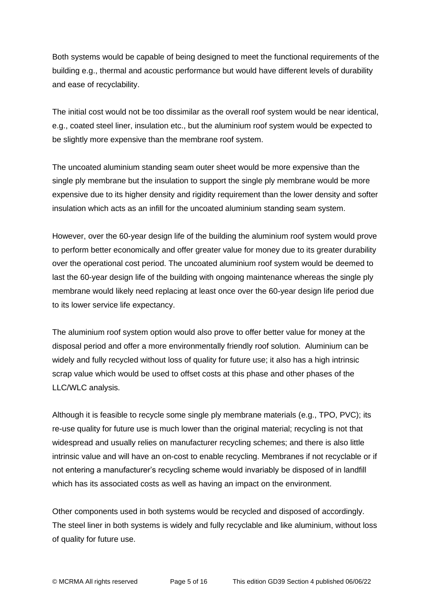Both systems would be capable of being designed to meet the functional requirements of the building e.g., thermal and acoustic performance but would have different levels of durability and ease of recyclability.

The initial cost would not be too dissimilar as the overall roof system would be near identical, e.g., coated steel liner, insulation etc., but the aluminium roof system would be expected to be slightly more expensive than the membrane roof system.

The uncoated aluminium standing seam outer sheet would be more expensive than the single ply membrane but the insulation to support the single ply membrane would be more expensive due to its higher density and rigidity requirement than the lower density and softer insulation which acts as an infill for the uncoated aluminium standing seam system.

However, over the 60-year design life of the building the aluminium roof system would prove to perform better economically and offer greater value for money due to its greater durability over the operational cost period. The uncoated aluminium roof system would be deemed to last the 60-year design life of the building with ongoing maintenance whereas the single ply membrane would likely need replacing at least once over the 60-year design life period due to its lower service life expectancy.

The aluminium roof system option would also prove to offer better value for money at the disposal period and offer a more environmentally friendly roof solution. Aluminium can be widely and fully recycled without loss of quality for future use; it also has a high intrinsic scrap value which would be used to offset costs at this phase and other phases of the LLC/WLC analysis.

Although it is feasible to recycle some single ply membrane materials (e.g., TPO, PVC); its re-use quality for future use is much lower than the original material; recycling is not that widespread and usually relies on manufacturer recycling schemes; and there is also little intrinsic value and will have an on-cost to enable recycling. Membranes if not recyclable or if not entering a manufacturer's recycling scheme would invariably be disposed of in landfill which has its associated costs as well as having an impact on the environment.

Other components used in both systems would be recycled and disposed of accordingly. The steel liner in both systems is widely and fully recyclable and like aluminium, without loss of quality for future use.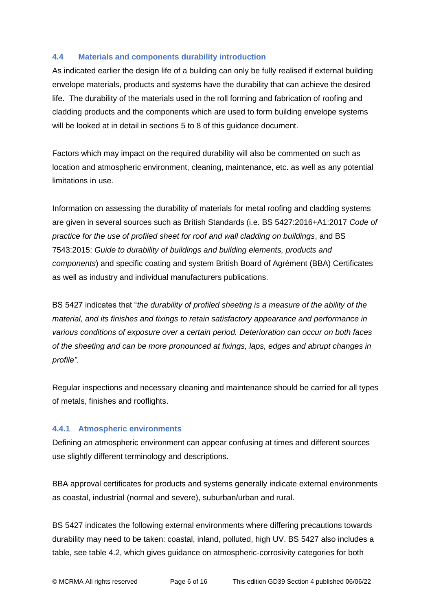## **4.4 Materials and components durability introduction**

As indicated earlier the design life of a building can only be fully realised if external building envelope materials, products and systems have the durability that can achieve the desired life. The durability of the materials used in the roll forming and fabrication of roofing and cladding products and the components which are used to form building envelope systems will be looked at in detail in sections 5 to 8 of this quidance document.

Factors which may impact on the required durability will also be commented on such as location and atmospheric environment, cleaning, maintenance, etc. as well as any potential limitations in use.

Information on assessing the durability of materials for metal roofing and cladding systems are given in several sources such as British Standards (i.e. BS 5427:2016+A1:2017 *Code of practice for the use of profiled sheet for roof and wall cladding on buildings*, and BS 7543:2015: *Guide to durability of buildings and building elements, products and components*) and specific coating and system British Board of Agrément (BBA) Certificates as well as industry and individual manufacturers publications.

BS 5427 indicates that "*the durability of profiled sheeting is a measure of the ability of the material, and its finishes and fixings to retain satisfactory appearance and performance in various conditions of exposure over a certain period. Deterioration can occur on both faces of the sheeting and can be more pronounced at fixings, laps, edges and abrupt changes in profile".*

Regular inspections and necessary cleaning and maintenance should be carried for all types of metals, finishes and rooflights.

## **4.4.1 Atmospheric environments**

Defining an atmospheric environment can appear confusing at times and different sources use slightly different terminology and descriptions.

BBA approval certificates for products and systems generally indicate external environments as coastal, industrial (normal and severe), suburban/urban and rural.

BS 5427 indicates the following external environments where differing precautions towards durability may need to be taken: coastal, inland, polluted, high UV. BS 5427 also includes a table, see table 4.2, which gives guidance on atmospheric-corrosivity categories for both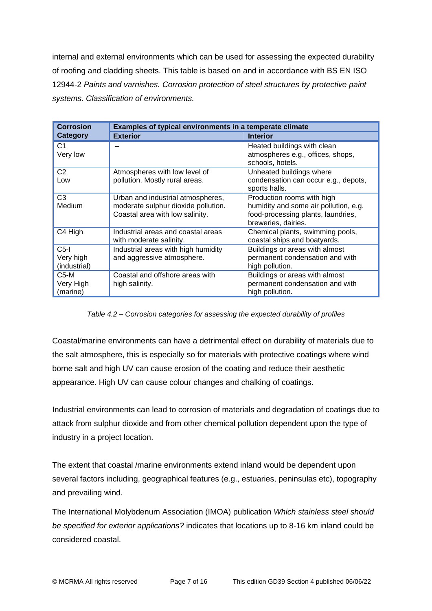internal and external environments which can be used for assessing the expected durability of roofing and cladding sheets. This table is based on and in accordance with BS EN ISO 12944-2 *Paints and varnishes. Corrosion protection of steel structures by protective paint systems. Classification of environments.*

| <b>Corrosion</b> | Examples of typical environments in a temperate climate       |                                                                  |  |
|------------------|---------------------------------------------------------------|------------------------------------------------------------------|--|
| <b>Category</b>  | <b>Exterior</b>                                               | <b>Interior</b>                                                  |  |
| C1               |                                                               | Heated buildings with clean                                      |  |
| Very low         |                                                               | atmospheres e.g., offices, shops,                                |  |
|                  |                                                               | schools, hotels.                                                 |  |
| C2               | Atmospheres with low level of                                 | Unheated buildings where                                         |  |
| Low              | pollution. Mostly rural areas.                                | condensation can occur e.g., depots,<br>sports halls.            |  |
| C <sub>3</sub>   | Urban and industrial atmospheres,                             | Production rooms with high                                       |  |
| Medium           | moderate sulphur dioxide pollution.                           | humidity and some air pollution, e.g.                            |  |
|                  | Coastal area with low salinity.                               | food-processing plants, laundries,                               |  |
|                  |                                                               | breweries, dairies.                                              |  |
| C4 High          | Industrial areas and coastal areas<br>with moderate salinity. | Chemical plants, swimming pools,<br>coastal ships and boatyards. |  |
| $C5$ -I          | Industrial areas with high humidity                           | Buildings or areas with almost                                   |  |
| Very high        | and aggressive atmosphere.                                    | permanent condensation and with                                  |  |
| (industrial)     |                                                               | high pollution.                                                  |  |
| C5-M             | Coastal and offshore areas with                               | Buildings or areas with almost                                   |  |
| Very High        | high salinity.                                                | permanent condensation and with                                  |  |
| (marine)         |                                                               | high pollution.                                                  |  |

*Table 4.2 – Corrosion categories for assessing the expected durability of profiles*

Coastal/marine environments can have a detrimental effect on durability of materials due to the salt atmosphere, this is especially so for materials with protective coatings where wind borne salt and high UV can cause erosion of the coating and reduce their aesthetic appearance. High UV can cause colour changes and chalking of coatings.

Industrial environments can lead to corrosion of materials and degradation of coatings due to attack from sulphur dioxide and from other chemical pollution dependent upon the type of industry in a project location.

The extent that coastal /marine environments extend inland would be dependent upon several factors including, geographical features (e.g., estuaries, peninsulas etc), topography and prevailing wind.

The International Molybdenum Association (IMOA) publication *Which stainless steel should be specified for exterior applications?* indicates that locations up to 8-16 km inland could be considered coastal.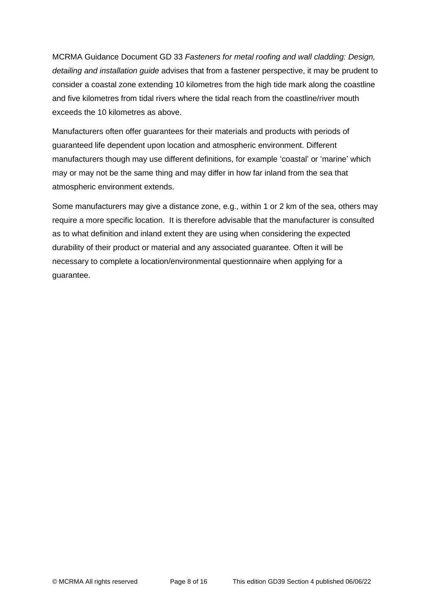MCRMA Guidance Document GD 33 *Fasteners for metal roofing and wall cladding: Design, detailing and installation guide* advises that from a fastener perspective, it may be prudent to consider a coastal zone extending 10 kilometres from the high tide mark along the coastline and five kilometres from tidal rivers where the tidal reach from the coastline/river mouth exceeds the 10 kilometres as above.

Manufacturers often offer guarantees for their materials and products with periods of guaranteed life dependent upon location and atmospheric environment. Different manufacturers though may use different definitions, for example 'coastal' or 'marine' which may or may not be the same thing and may differ in how far inland from the sea that atmospheric environment extends.

Some manufacturers may give a distance zone, e.g., within 1 or 2 km of the sea, others may require a more specific location. It is therefore advisable that the manufacturer is consulted as to what definition and inland extent they are using when considering the expected durability of their product or material and any associated guarantee. Often it will be necessary to complete a location/environmental questionnaire when applying for a guarantee.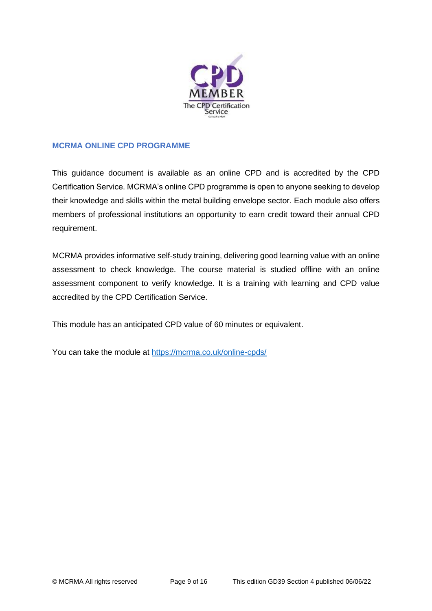

## **MCRMA ONLINE CPD PROGRAMME**

This guidance document is available as an online CPD and is accredited by the CPD Certification Service. MCRMA's online CPD programme is open to anyone seeking to develop their knowledge and skills within the metal building envelope sector. Each module also offers members of professional institutions an opportunity to earn credit toward their annual CPD requirement.

MCRMA provides informative self-study training, delivering good learning value with an online assessment to check knowledge. The course material is studied offline with an online assessment component to verify knowledge. It is a training with learning and CPD value accredited by the CPD Certification Service.

This module has an anticipated CPD value of 60 minutes or equivalent.

You can take the module at<https://mcrma.co.uk/online-cpds/>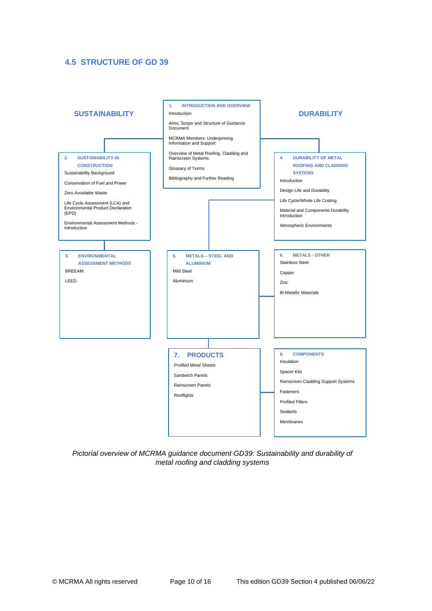## **4.5 STRUCTURE OF GD 39**



*Pictorial overview of MCRMA guidance document GD39: Sustainability and durability of metal roofing and cladding systems*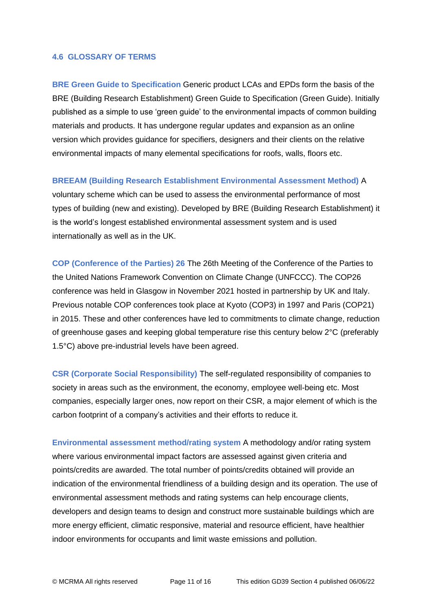### **4.6 GLOSSARY OF TERMS**

**BRE Green Guide to Specification** Generic product LCAs and EPDs form the basis of the BRE (Building Research Establishment) Green Guide to Specification (Green Guide). Initially published as a simple to use 'green guide' to the environmental impacts of common building materials and products. It has undergone regular updates and expansion as an online version which provides guidance for specifiers, designers and their clients on the relative environmental impacts of many elemental specifications for roofs, walls, floors etc.

### **BREEAM (Building Research Establishment Environmental Assessment Method)** A

voluntary scheme which can be used to assess the environmental performance of most types of building (new and existing). Developed by BRE (Building Research Establishment) it is the world's longest established environmental assessment system and is used internationally as well as in the UK.

**COP (Conference of the Parties) 26** The 26th Meeting of the Conference of the Parties to the United Nations Framework Convention on Climate Change (UNFCCC). The COP26 conference was held in Glasgow in November 2021 hosted in partnership by UK and Italy. Previous notable COP conferences took place at Kyoto (COP3) in 1997 and Paris (COP21) in 2015. These and other conferences have led to commitments to climate change, reduction of greenhouse gases and keeping global temperature rise this century below 2°C (preferably 1.5°C) above pre-industrial levels have been agreed.

**CSR (Corporate Social Responsibility)** The self-regulated responsibility of companies to society in areas such as the environment, the economy, employee well-being etc. Most companies, especially larger ones, now report on their CSR, a major element of which is the carbon footprint of a company's activities and their efforts to reduce it.

**Environmental assessment method/rating system** A methodology and/or rating system where various environmental impact factors are assessed against given criteria and points/credits are awarded. The total number of points/credits obtained will provide an indication of the environmental friendliness of a building design and its operation. The use of environmental assessment methods and rating systems can help encourage clients, developers and design teams to design and construct more sustainable buildings which are more energy efficient, climatic responsive, material and resource efficient, have healthier indoor environments for occupants and limit waste emissions and pollution.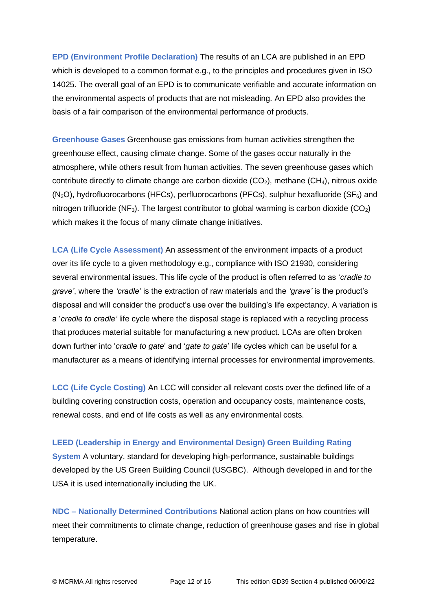**EPD (Environment Profile Declaration)** The results of an LCA are published in an EPD which is developed to a common format e.g., to the principles and procedures given in ISO 14025. The overall goal of an EPD is to communicate verifiable and accurate information on the environmental aspects of products that are not misleading. An EPD also provides the basis of a fair comparison of the environmental performance of products.

**Greenhouse Gases** Greenhouse gas emissions from human activities strengthen the greenhouse effect, causing climate change. Some of the gases occur naturally in the atmosphere, while others result from human activities. The seven greenhouse gases which contribute directly to climate change are carbon dioxide  $(CO<sub>2</sub>)$ , methane  $(CH<sub>4</sub>)$ , nitrous oxide  $(N<sub>2</sub>O)$ , hydrofluorocarbons (HFCs), perfluorocarbons (PFCs), sulphur hexafluoride (SF $_6$ ) and nitrogen trifluoride (NF<sub>3</sub>). The largest contributor to global warming is carbon dioxide (CO<sub>2</sub>) which makes it the focus of many climate change initiatives.

**LCA (Life Cycle Assessment)** An assessment of the environment impacts of a product over its life cycle to a given methodology e.g., compliance with ISO 21930, considering several environmental issues. This life cycle of the product is often referred to as '*cradle to grave'*, where the *'cradle'* is the extraction of raw materials and the *'grave'* is the product's disposal and will consider the product's use over the building's life expectancy. A variation is a '*cradle to cradle'* life cycle where the disposal stage is replaced with a recycling process that produces material suitable for manufacturing a new product. LCAs are often broken down further into '*cradle to gate*' and '*gate to gate*' life cycles which can be useful for a manufacturer as a means of identifying internal processes for environmental improvements.

**LCC (Life Cycle Costing)** An LCC will consider all relevant costs over the defined life of a building covering construction costs, operation and occupancy costs, maintenance costs, renewal costs, and end of life costs as well as any environmental costs.

### **LEED (Leadership in Energy and Environmental Design) Green Building Rating**

**System** A voluntary, standard for developing high-performance, sustainable buildings developed by the US Green Building Council (USGBC). Although developed in and for the USA it is used internationally including the UK.

**NDC – Nationally Determined Contributions** National action plans on how countries will meet their commitments to climate change, reduction of greenhouse gases and rise in global temperature.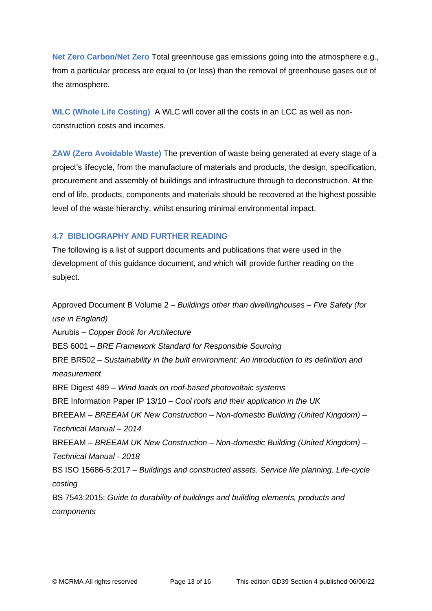**Net Zero Carbon/Net Zero** Total greenhouse gas emissions going into the atmosphere e.g., from a particular process are equal to (or less) than the removal of greenhouse gases out of the atmosphere.

**WLC (Whole Life Costing)** A WLC will cover all the costs in an LCC as well as nonconstruction costs and incomes.

**ZAW (Zero Avoidable Waste)** The prevention of waste being generated at every stage of a project's lifecycle, from the manufacture of materials and products, the design, specification, procurement and assembly of buildings and infrastructure through to deconstruction. At the end of life, products, components and materials should be recovered at the highest possible level of the waste hierarchy, whilst ensuring minimal environmental impact.

## **4.7 BIBLIOGRAPHY AND FURTHER READING**

The following is a list of support documents and publications that were used in the development of this guidance document, and which will provide further reading on the subject.

Approved Document B Volume 2 – *Buildings other than dwellinghouses – Fire Safety (for use in England)* Aurubis – *Copper Book for Architecture* BES 6001 – *BRE Framework Standard for Responsible Sourcing* BRE BR502 – *Sustainability in the built environment: An introduction to its definition and measurement* BRE Digest 489 – *Wind loads on roof-based photovoltaic systems* BRE Information Paper IP 13/10 – *Cool roofs and their application in the UK* BREEAM – *BREEAM UK New Construction – Non-domestic Building (United Kingdom) – Technical Manual – 2014* BREEAM – *BREEAM UK New Construction – Non-domestic Building (United Kingdom) – Technical Manual - 2018* BS ISO 15686-5:2017 – *Buildings and constructed assets. Service life planning. Life-cycle costing* BS 7543:2015: *Guide to durability of buildings and building elements, products and components*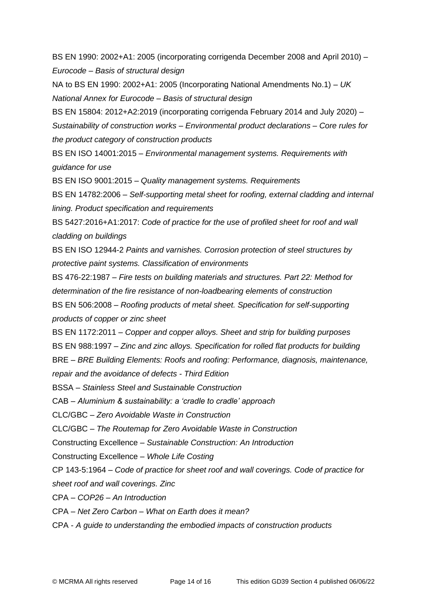BS EN 1990: 2002+A1: 2005 (incorporating corrigenda December 2008 and April 2010) – *Eurocode – Basis of structural design*

NA to BS EN 1990: 2002+A1: 2005 (Incorporating National Amendments No.1) – *UK National Annex for Eurocode – Basis of structural design*

BS EN 15804: 2012+A2:2019 (incorporating corrigenda February 2014 and July 2020) –

*Sustainability of construction works – Environmental product declarations – Core rules for the product category of construction products*

BS EN ISO 14001:2015 – *Environmental management systems. Requirements with guidance for use*

BS EN ISO 9001:2015 – *Quality management systems. Requirements*

BS EN 14782:2006 – *Self-supporting metal sheet for roofing, external cladding and internal lining. Product specification and requirements*

BS 5427:2016+A1:2017: *Code of practice for the use of profiled sheet for roof and wall cladding on buildings*

BS EN ISO 12944-2 *Paints and varnishes. Corrosion protection of steel structures by protective paint systems. Classification of environments*

BS 476-22:1987 – *Fire tests on building materials and structures. Part 22: Method for determination of the fire resistance of non-loadbearing elements of construction* BS EN 506:2008 – *Roofing products of metal sheet. Specification for self-supporting* 

*products of copper or zinc sheet*

BS EN 1172:2011 *– Copper and copper alloys. Sheet and strip for building purposes*

BS EN 988:1997 – *Zinc and zinc alloys. Specification for rolled flat products for building*

BRE – *BRE Building Elements: Roofs and roofing: Performance, diagnosis, maintenance, repair and the avoidance of defects - Third Edition*

BSSA – *Stainless Steel and Sustainable Construction*

CAB *– Aluminium & sustainability: a 'cradle to cradle' approach*

CLC/GBC – *Zero Avoidable Waste in Construction*

CLC/GBC – *The Routemap for Zero Avoidable Waste in Construction*

Constructing Excellence – *Sustainable Construction: An Introduction*

Constructing Excellence – *Whole Life Costing*

CP 143-5:1964 – *Code of practice for sheet roof and wall coverings. Code of practice for sheet roof and wall coverings. Zinc*

CPA – *COP26 – An Introduction*

CPA – *Net Zero Carbon – What on Earth does it mean?*

CPA - *A guide to understanding the embodied impacts of construction products*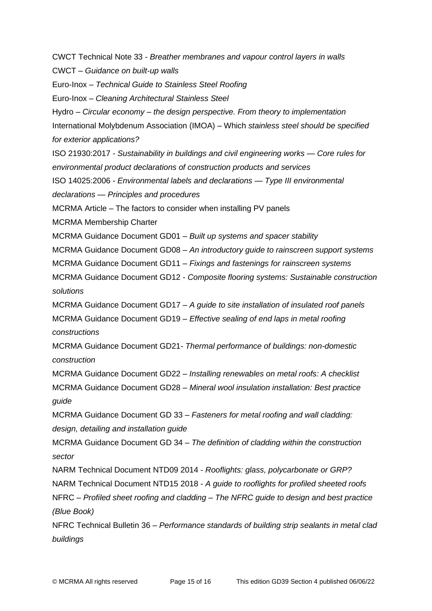CWCT Technical Note 33 - *Breather membranes and vapour control layers in walls* CWCT – *Guidance on built-up walls* Euro-Inox – *Technical Guide to Stainless Steel Roofing* Euro-Inox – *Cleaning Architectural Stainless Steel* Hydro – *Circular economy – the design perspective. From theory to implementation* International Molybdenum Association (IMOA) – Which *stainless steel should be specified for exterior applications?* ISO 21930:2017 *- Sustainability in buildings and civil engineering works — Core rules for environmental product declarations of construction products and services* ISO 14025:2006 *- Environmental labels and declarations — Type III environmental declarations — Principles and procedures* MCRMA Article – The factors to consider when installing PV panels MCRMA Membership Charter MCRMA Guidance Document GD01 – *Built up systems and spacer stability* MCRMA Guidance Document GD08 – *An introductory guide to rainscreen support systems* MCRMA Guidance Document GD11 – *Fixings and fastenings for rainscreen systems* MCRMA Guidance Document GD12 - *Composite flooring systems: Sustainable construction solutions* MCRMA Guidance Document GD17 – *A guide to site installation of insulated roof panels* MCRMA Guidance Document GD19 – *Effective sealing of end laps in metal roofing constructions* MCRMA Guidance Document GD21*- Thermal performance of buildings: non-domestic construction* MCRMA Guidance Document GD22 – *Installing renewables on metal roofs: A checklist*  MCRMA Guidance Document GD28 – *Mineral wool insulation installation: Best practice guide*  MCRMA Guidance Document GD 33 – *Fasteners for metal roofing and wall cladding: design, detailing and installation guide* MCRMA Guidance Document GD 34 – *The definition of cladding within the construction sector* NARM Technical Document NTD09 2014 - *Rooflights: glass, polycarbonate or GRP?* NARM Technical Document NTD15 2018 - *A guide to rooflights for profiled sheeted roofs* NFRC – *Profiled sheet roofing and cladding – The NFRC guide to design and best practice (Blue Book)* NFRC Technical Bulletin 36 – *Performance standards of building strip sealants in metal clad buildings*